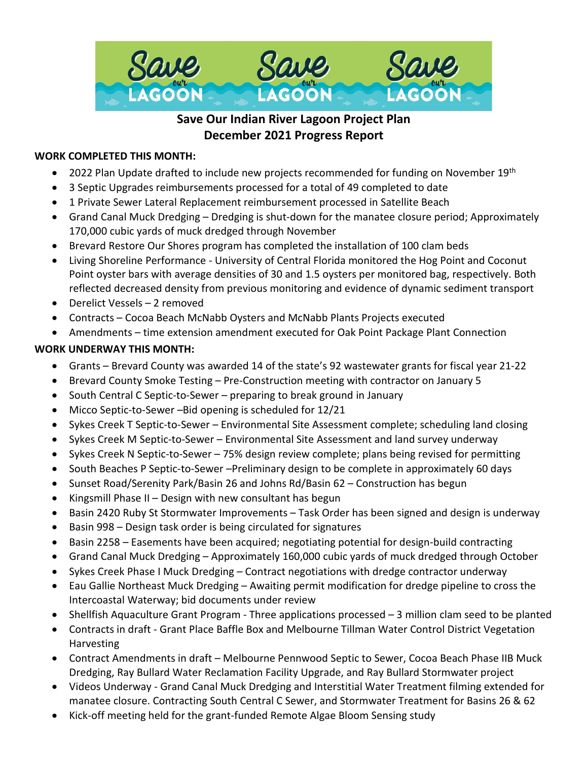

# **Save Our Indian River Lagoon Project Plan December 2021 Progress Report**

## **WORK COMPLETED THIS MONTH:**

- 2022 Plan Update drafted to include new projects recommended for funding on November  $19^{th}$
- 3 Septic Upgrades reimbursements processed for a total of 49 completed to date
- 1 Private Sewer Lateral Replacement reimbursement processed in Satellite Beach
- Grand Canal Muck Dredging Dredging is shut-down for the manatee closure period; Approximately 170,000 cubic yards of muck dredged through November
- Brevard Restore Our Shores program has completed the installation of 100 clam beds
- Living Shoreline Performance University of Central Florida monitored the Hog Point and Coconut Point oyster bars with average densities of 30 and 1.5 oysters per monitored bag, respectively. Both reflected decreased density from previous monitoring and evidence of dynamic sediment transport
- Derelict Vessels 2 removed
- Contracts Cocoa Beach McNabb Oysters and McNabb Plants Projects executed
- Amendments time extension amendment executed for Oak Point Package Plant Connection

# **WORK UNDERWAY THIS MONTH:**

- Grants Brevard County was awarded 14 of the state's 92 wastewater grants for fiscal year 21-22
- Brevard County Smoke Testing Pre-Construction meeting with contractor on January 5
- South Central C Septic-to-Sewer preparing to break ground in January
- Micco Septic-to-Sewer –Bid opening is scheduled for 12/21
- Sykes Creek T Septic-to-Sewer Environmental Site Assessment complete; scheduling land closing
- Sykes Creek M Septic-to-Sewer Environmental Site Assessment and land survey underway
- Sykes Creek N Septic-to-Sewer 75% design review complete; plans being revised for permitting
- South Beaches P Septic-to-Sewer –Preliminary design to be complete in approximately 60 days
- Sunset Road/Serenity Park/Basin 26 and Johns Rd/Basin 62 Construction has begun
- Kingsmill Phase II Design with new consultant has begun
- Basin 2420 Ruby St Stormwater Improvements Task Order has been signed and design is underway
- Basin 998 Design task order is being circulated for signatures
- Basin 2258 Easements have been acquired; negotiating potential for design-build contracting
- Grand Canal Muck Dredging Approximately 160,000 cubic yards of muck dredged through October
- Sykes Creek Phase I Muck Dredging Contract negotiations with dredge contractor underway
- Eau Gallie Northeast Muck Dredging Awaiting permit modification for dredge pipeline to cross the Intercoastal Waterway; bid documents under review
- Shellfish Aquaculture Grant Program Three applications processed 3 million clam seed to be planted
- Contracts in draft Grant Place Baffle Box and Melbourne Tillman Water Control District Vegetation Harvesting
- Contract Amendments in draft Melbourne Pennwood Septic to Sewer, Cocoa Beach Phase IIB Muck Dredging, Ray Bullard Water Reclamation Facility Upgrade, and Ray Bullard Stormwater project
- Videos Underway Grand Canal Muck Dredging and Interstitial Water Treatment filming extended for manatee closure. Contracting South Central C Sewer, and Stormwater Treatment for Basins 26 & 62
- Kick-off meeting held for the grant-funded Remote Algae Bloom Sensing study